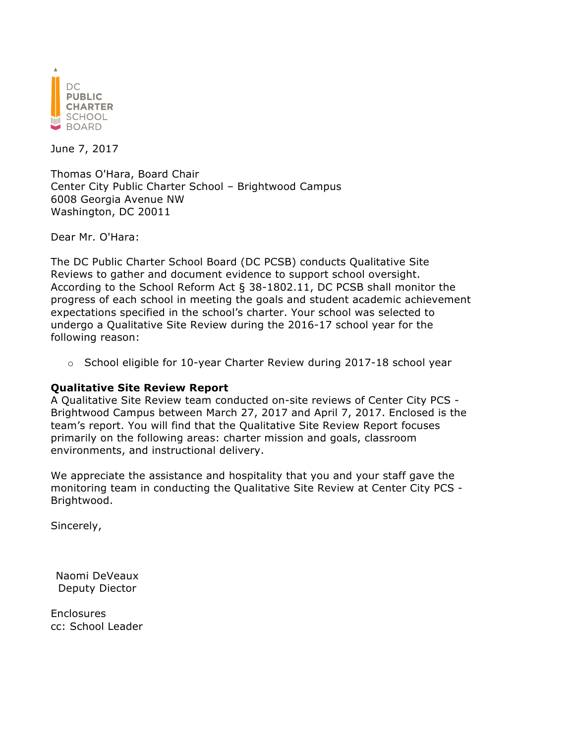

June 7, 2017

Thomas O'Hara, Board Chair Center City Public Charter School – Brightwood Campus 6008 Georgia Avenue NW Washington, DC 20011

Dear Mr. O'Hara:

The DC Public Charter School Board (DC PCSB) conducts Qualitative Site Reviews to gather and document evidence to support school oversight. According to the School Reform Act § 38-1802.11, DC PCSB shall monitor the progress of each school in meeting the goals and student academic achievement expectations specified in the school's charter. Your school was selected to undergo a Qualitative Site Review during the 2016-17 school year for the following reason:

 $\circ$  School eligible for 10-year Charter Review during 2017-18 school year

#### **Qualitative Site Review Report**

A Qualitative Site Review team conducted on-site reviews of Center City PCS - Brightwood Campus between March 27, 2017 and April 7, 2017. Enclosed is the team's report. You will find that the Qualitative Site Review Report focuses primarily on the following areas: charter mission and goals, classroom environments, and instructional delivery.

We appreciate the assistance and hospitality that you and your staff gave the monitoring team in conducting the Qualitative Site Review at Center City PCS - Brightwood.

Sincerely,

Naomi DeVeaux Deputy Diector

Enclosures cc: School Leader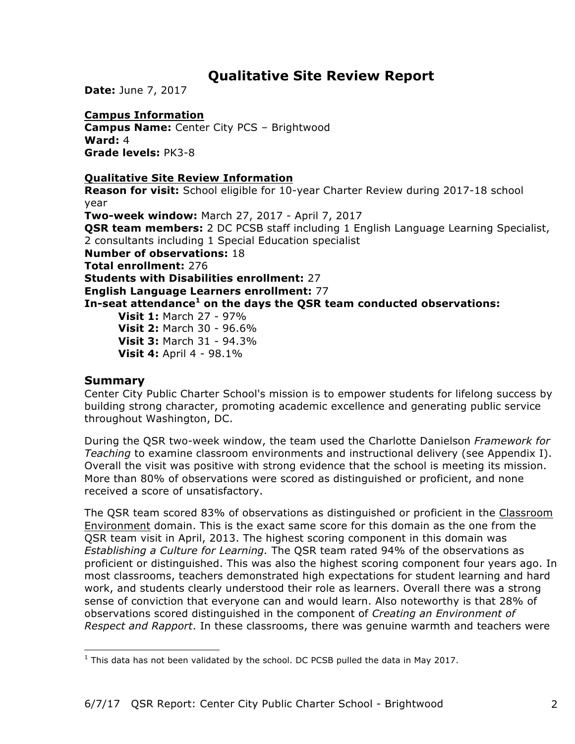# **Qualitative Site Review Report**

**Date:** June 7, 2017

## **Campus Information**

**Campus Name:** Center City PCS – Brightwood **Ward:** 4 **Grade levels:** PK3-8

### **Qualitative Site Review Information**

**Reason for visit:** School eligible for 10-year Charter Review during 2017-18 school year

**Two-week window:** March 27, 2017 - April 7, 2017 **OSR team members:** 2 DC PCSB staff including 1 English Language Learning Specialist, 2 consultants including 1 Special Education specialist **Number of observations:** 18 **Total enrollment:** 276 **Students with Disabilities enrollment:** 27 **English Language Learners enrollment:** 77 **In-seat attendance<sup>1</sup> on the days the QSR team conducted observations: Visit 1:** March 27 - 97% **Visit 2:** March 30 - 96.6% **Visit 3:** March 31 - 94.3%

**Visit 4:** April 4 - 98.1%

### **Summary**

Center City Public Charter School's mission is to empower students for lifelong success by building strong character, promoting academic excellence and generating public service throughout Washington, DC.

During the QSR two-week window, the team used the Charlotte Danielson *Framework for Teaching* to examine classroom environments and instructional delivery (see Appendix I). Overall the visit was positive with strong evidence that the school is meeting its mission. More than 80% of observations were scored as distinguished or proficient, and none received a score of unsatisfactory.

The QSR team scored 83% of observations as distinguished or proficient in the Classroom Environment domain. This is the exact same score for this domain as the one from the QSR team visit in April, 2013. The highest scoring component in this domain was *Establishing a Culture for Learning.* The QSR team rated 94% of the observations as proficient or distinguished. This was also the highest scoring component four years ago. In most classrooms, teachers demonstrated high expectations for student learning and hard work, and students clearly understood their role as learners. Overall there was a strong sense of conviction that everyone can and would learn. Also noteworthy is that 28% of observations scored distinguished in the component of *Creating an Environment of Respect and Rapport*. In these classrooms, there was genuine warmth and teachers were

<sup>&</sup>lt;u> 1989 - Johann Stein, marwolaethau a bh</u>  $1$  This data has not been validated by the school. DC PCSB pulled the data in May 2017.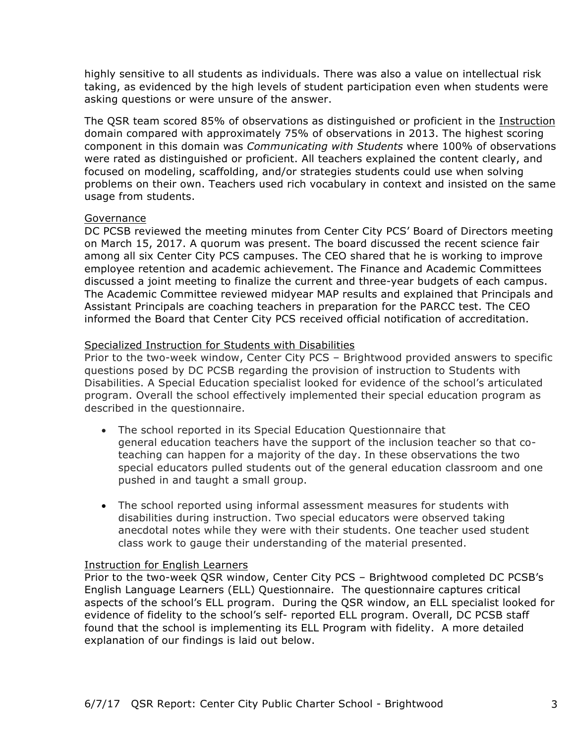highly sensitive to all students as individuals. There was also a value on intellectual risk taking, as evidenced by the high levels of student participation even when students were asking questions or were unsure of the answer.

The QSR team scored 85% of observations as distinguished or proficient in the Instruction domain compared with approximately 75% of observations in 2013. The highest scoring component in this domain was *Communicating with Students* where 100% of observations were rated as distinguished or proficient. All teachers explained the content clearly, and focused on modeling, scaffolding, and/or strategies students could use when solving problems on their own. Teachers used rich vocabulary in context and insisted on the same usage from students.

#### Governance

DC PCSB reviewed the meeting minutes from Center City PCS' Board of Directors meeting on March 15, 2017. A quorum was present. The board discussed the recent science fair among all six Center City PCS campuses. The CEO shared that he is working to improve employee retention and academic achievement. The Finance and Academic Committees discussed a joint meeting to finalize the current and three-year budgets of each campus. The Academic Committee reviewed midyear MAP results and explained that Principals and Assistant Principals are coaching teachers in preparation for the PARCC test. The CEO informed the Board that Center City PCS received official notification of accreditation.

#### Specialized Instruction for Students with Disabilities

Prior to the two-week window, Center City PCS – Brightwood provided answers to specific questions posed by DC PCSB regarding the provision of instruction to Students with Disabilities. A Special Education specialist looked for evidence of the school's articulated program. Overall the school effectively implemented their special education program as described in the questionnaire.

- The school reported in its Special Education Questionnaire that general education teachers have the support of the inclusion teacher so that coteaching can happen for a majority of the day. In these observations the two special educators pulled students out of the general education classroom and one pushed in and taught a small group.
- The school reported using informal assessment measures for students with disabilities during instruction. Two special educators were observed taking anecdotal notes while they were with their students. One teacher used student class work to gauge their understanding of the material presented.

#### Instruction for English Learners

Prior to the two-week QSR window, Center City PCS – Brightwood completed DC PCSB's English Language Learners (ELL) Questionnaire. The questionnaire captures critical aspects of the school's ELL program. During the QSR window, an ELL specialist looked for evidence of fidelity to the school's self- reported ELL program. Overall, DC PCSB staff found that the school is implementing its ELL Program with fidelity. A more detailed explanation of our findings is laid out below.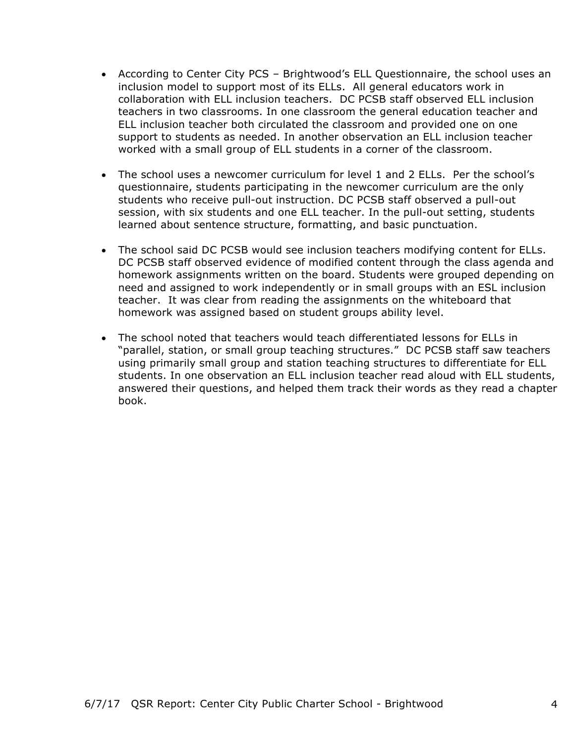- According to Center City PCS Brightwood's ELL Questionnaire, the school uses an inclusion model to support most of its ELLs. All general educators work in collaboration with ELL inclusion teachers. DC PCSB staff observed ELL inclusion teachers in two classrooms. In one classroom the general education teacher and ELL inclusion teacher both circulated the classroom and provided one on one support to students as needed. In another observation an ELL inclusion teacher worked with a small group of ELL students in a corner of the classroom.
- The school uses a newcomer curriculum for level 1 and 2 ELLs. Per the school's questionnaire, students participating in the newcomer curriculum are the only students who receive pull-out instruction. DC PCSB staff observed a pull-out session, with six students and one ELL teacher. In the pull-out setting, students learned about sentence structure, formatting, and basic punctuation.
- The school said DC PCSB would see inclusion teachers modifying content for ELLs. DC PCSB staff observed evidence of modified content through the class agenda and homework assignments written on the board. Students were grouped depending on need and assigned to work independently or in small groups with an ESL inclusion teacher. It was clear from reading the assignments on the whiteboard that homework was assigned based on student groups ability level.
- The school noted that teachers would teach differentiated lessons for ELLs in "parallel, station, or small group teaching structures." DC PCSB staff saw teachers using primarily small group and station teaching structures to differentiate for ELL students. In one observation an ELL inclusion teacher read aloud with ELL students, answered their questions, and helped them track their words as they read a chapter book.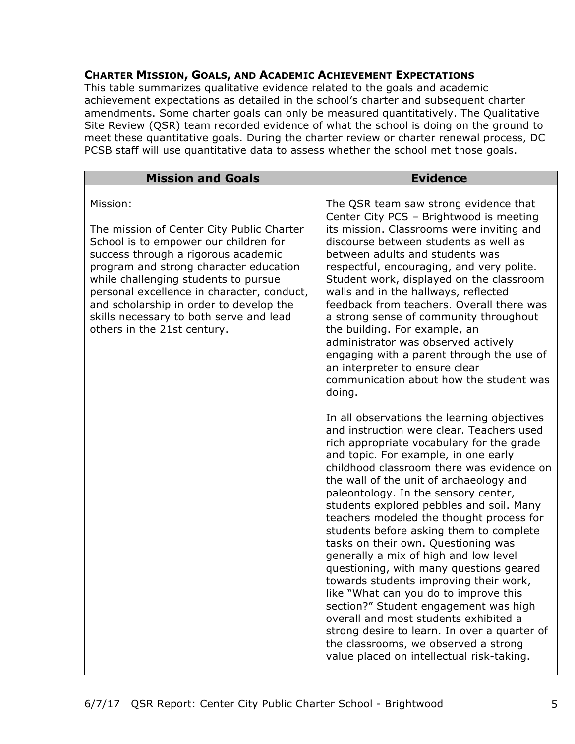### **CHARTER MISSION, GOALS, AND ACADEMIC ACHIEVEMENT EXPECTATIONS**

This table summarizes qualitative evidence related to the goals and academic achievement expectations as detailed in the school's charter and subsequent charter amendments. Some charter goals can only be measured quantitatively. The Qualitative Site Review (QSR) team recorded evidence of what the school is doing on the ground to meet these quantitative goals. During the charter review or charter renewal process, DC PCSB staff will use quantitative data to assess whether the school met those goals.

| <b>Mission and Goals</b>                                                                                                                                                                                                                                                                                                                                                                   | <b>Evidence</b>                                                                                                                                                                                                                                                                                                                                                                                                                                                                                                                                                                                                                                                                                                                                                                                                                                                                       |
|--------------------------------------------------------------------------------------------------------------------------------------------------------------------------------------------------------------------------------------------------------------------------------------------------------------------------------------------------------------------------------------------|---------------------------------------------------------------------------------------------------------------------------------------------------------------------------------------------------------------------------------------------------------------------------------------------------------------------------------------------------------------------------------------------------------------------------------------------------------------------------------------------------------------------------------------------------------------------------------------------------------------------------------------------------------------------------------------------------------------------------------------------------------------------------------------------------------------------------------------------------------------------------------------|
| Mission:<br>The mission of Center City Public Charter<br>School is to empower our children for<br>success through a rigorous academic<br>program and strong character education<br>while challenging students to pursue<br>personal excellence in character, conduct,<br>and scholarship in order to develop the<br>skills necessary to both serve and lead<br>others in the 21st century. | The QSR team saw strong evidence that<br>Center City PCS - Brightwood is meeting<br>its mission. Classrooms were inviting and<br>discourse between students as well as<br>between adults and students was<br>respectful, encouraging, and very polite.<br>Student work, displayed on the classroom<br>walls and in the hallways, reflected<br>feedback from teachers. Overall there was<br>a strong sense of community throughout<br>the building. For example, an<br>administrator was observed actively<br>engaging with a parent through the use of<br>an interpreter to ensure clear<br>communication about how the student was<br>doing.                                                                                                                                                                                                                                         |
|                                                                                                                                                                                                                                                                                                                                                                                            | In all observations the learning objectives<br>and instruction were clear. Teachers used<br>rich appropriate vocabulary for the grade<br>and topic. For example, in one early<br>childhood classroom there was evidence on<br>the wall of the unit of archaeology and<br>paleontology. In the sensory center,<br>students explored pebbles and soil. Many<br>teachers modeled the thought process for<br>students before asking them to complete<br>tasks on their own. Questioning was<br>generally a mix of high and low level<br>questioning, with many questions geared<br>towards students improving their work,<br>like "What can you do to improve this<br>section?" Student engagement was high<br>overall and most students exhibited a<br>strong desire to learn. In over a quarter of<br>the classrooms, we observed a strong<br>value placed on intellectual risk-taking. |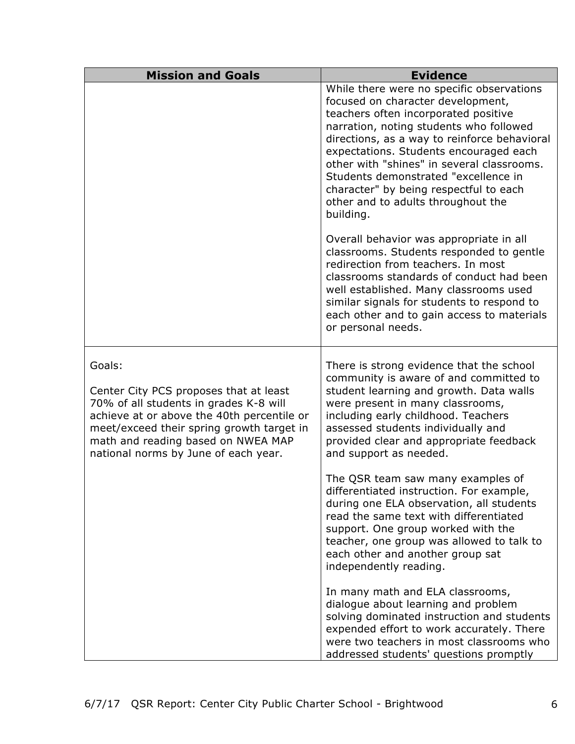| <b>Mission and Goals</b>                                                                                                                                                                                                                                            | <b>Evidence</b>                                                                                                                                                                                                                                                                                                                                                                                                                                |
|---------------------------------------------------------------------------------------------------------------------------------------------------------------------------------------------------------------------------------------------------------------------|------------------------------------------------------------------------------------------------------------------------------------------------------------------------------------------------------------------------------------------------------------------------------------------------------------------------------------------------------------------------------------------------------------------------------------------------|
|                                                                                                                                                                                                                                                                     | While there were no specific observations<br>focused on character development,<br>teachers often incorporated positive<br>narration, noting students who followed<br>directions, as a way to reinforce behavioral<br>expectations. Students encouraged each<br>other with "shines" in several classrooms.<br>Students demonstrated "excellence in<br>character" by being respectful to each<br>other and to adults throughout the<br>building. |
|                                                                                                                                                                                                                                                                     | Overall behavior was appropriate in all<br>classrooms. Students responded to gentle<br>redirection from teachers. In most<br>classrooms standards of conduct had been<br>well established. Many classrooms used<br>similar signals for students to respond to<br>each other and to gain access to materials<br>or personal needs.                                                                                                              |
| Goals:<br>Center City PCS proposes that at least<br>70% of all students in grades K-8 will<br>achieve at or above the 40th percentile or<br>meet/exceed their spring growth target in<br>math and reading based on NWEA MAP<br>national norms by June of each year. | There is strong evidence that the school<br>community is aware of and committed to<br>student learning and growth. Data walls<br>were present in many classrooms,<br>including early childhood. Teachers<br>assessed students individually and<br>provided clear and appropriate feedback<br>and support as needed.                                                                                                                            |
|                                                                                                                                                                                                                                                                     | The QSR team saw many examples of<br>differentiated instruction. For example,<br>during one ELA observation, all students<br>read the same text with differentiated<br>support. One group worked with the<br>teacher, one group was allowed to talk to<br>each other and another group sat<br>independently reading.                                                                                                                           |
|                                                                                                                                                                                                                                                                     | In many math and ELA classrooms,<br>dialogue about learning and problem<br>solving dominated instruction and students<br>expended effort to work accurately. There<br>were two teachers in most classrooms who<br>addressed students' questions promptly                                                                                                                                                                                       |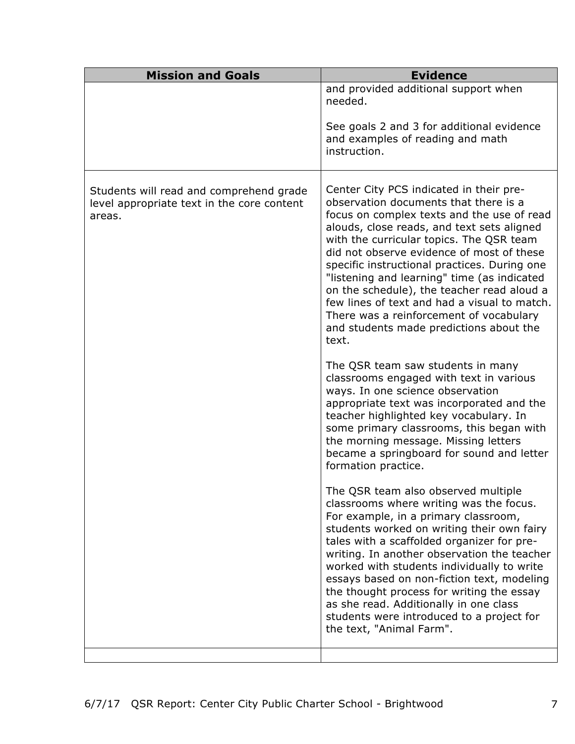| <b>Mission and Goals</b>                                                                        | <b>Evidence</b>                                                                                                                                                                                                                                                                                                                                                                                                                                                                                                                                                   |
|-------------------------------------------------------------------------------------------------|-------------------------------------------------------------------------------------------------------------------------------------------------------------------------------------------------------------------------------------------------------------------------------------------------------------------------------------------------------------------------------------------------------------------------------------------------------------------------------------------------------------------------------------------------------------------|
|                                                                                                 | and provided additional support when<br>needed.                                                                                                                                                                                                                                                                                                                                                                                                                                                                                                                   |
|                                                                                                 | See goals 2 and 3 for additional evidence<br>and examples of reading and math<br>instruction.                                                                                                                                                                                                                                                                                                                                                                                                                                                                     |
| Students will read and comprehend grade<br>level appropriate text in the core content<br>areas. | Center City PCS indicated in their pre-<br>observation documents that there is a<br>focus on complex texts and the use of read<br>alouds, close reads, and text sets aligned<br>with the curricular topics. The QSR team<br>did not observe evidence of most of these<br>specific instructional practices. During one<br>"listening and learning" time (as indicated<br>on the schedule), the teacher read aloud a<br>few lines of text and had a visual to match.<br>There was a reinforcement of vocabulary<br>and students made predictions about the<br>text. |
|                                                                                                 | The QSR team saw students in many<br>classrooms engaged with text in various<br>ways. In one science observation<br>appropriate text was incorporated and the<br>teacher highlighted key vocabulary. In<br>some primary classrooms, this began with<br>the morning message. Missing letters<br>became a springboard for sound and letter<br>formation practice.                                                                                                                                                                                                   |
|                                                                                                 | The QSR team also observed multiple<br>classrooms where writing was the focus.<br>For example, in a primary classroom,<br>students worked on writing their own fairy<br>tales with a scaffolded organizer for pre-<br>writing. In another observation the teacher<br>worked with students individually to write<br>essays based on non-fiction text, modeling<br>the thought process for writing the essay<br>as she read. Additionally in one class<br>students were introduced to a project for<br>the text, "Animal Farm".                                     |
|                                                                                                 |                                                                                                                                                                                                                                                                                                                                                                                                                                                                                                                                                                   |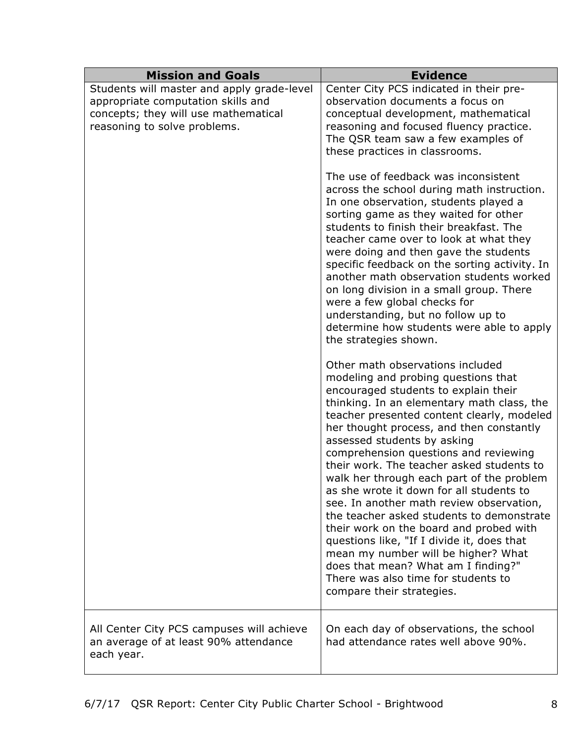| <b>Mission and Goals</b>                                                                                                                                 | <b>Evidence</b>                                                                                                                                                                                                                                                                                                                                                                                                                                                                                                                                                                                                                                                                                                                                                                                           |
|----------------------------------------------------------------------------------------------------------------------------------------------------------|-----------------------------------------------------------------------------------------------------------------------------------------------------------------------------------------------------------------------------------------------------------------------------------------------------------------------------------------------------------------------------------------------------------------------------------------------------------------------------------------------------------------------------------------------------------------------------------------------------------------------------------------------------------------------------------------------------------------------------------------------------------------------------------------------------------|
| Students will master and apply grade-level<br>appropriate computation skills and<br>concepts; they will use mathematical<br>reasoning to solve problems. | Center City PCS indicated in their pre-<br>observation documents a focus on<br>conceptual development, mathematical<br>reasoning and focused fluency practice.<br>The QSR team saw a few examples of<br>these practices in classrooms.<br>The use of feedback was inconsistent                                                                                                                                                                                                                                                                                                                                                                                                                                                                                                                            |
|                                                                                                                                                          | across the school during math instruction.<br>In one observation, students played a<br>sorting game as they waited for other<br>students to finish their breakfast. The<br>teacher came over to look at what they<br>were doing and then gave the students<br>specific feedback on the sorting activity. In<br>another math observation students worked<br>on long division in a small group. There<br>were a few global checks for<br>understanding, but no follow up to<br>determine how students were able to apply<br>the strategies shown.                                                                                                                                                                                                                                                           |
|                                                                                                                                                          | Other math observations included<br>modeling and probing questions that<br>encouraged students to explain their<br>thinking. In an elementary math class, the<br>teacher presented content clearly, modeled<br>her thought process, and then constantly<br>assessed students by asking<br>comprehension questions and reviewing<br>their work. The teacher asked students to<br>walk her through each part of the problem<br>as she wrote it down for all students to<br>see. In another math review observation,<br>the teacher asked students to demonstrate<br>their work on the board and probed with<br>questions like, "If I divide it, does that<br>mean my number will be higher? What<br>does that mean? What am I finding?"<br>There was also time for students to<br>compare their strategies. |
| All Center City PCS campuses will achieve<br>an average of at least 90% attendance<br>each year.                                                         | On each day of observations, the school<br>had attendance rates well above 90%.                                                                                                                                                                                                                                                                                                                                                                                                                                                                                                                                                                                                                                                                                                                           |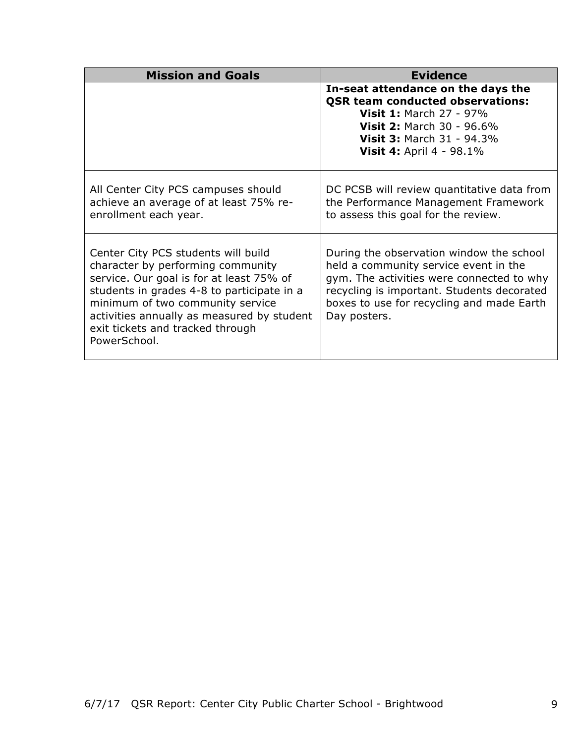| <b>Mission and Goals</b>                                                                                                                                                                                                                                                                                 | <b>Evidence</b>                                                                                                                                                                                                                           |
|----------------------------------------------------------------------------------------------------------------------------------------------------------------------------------------------------------------------------------------------------------------------------------------------------------|-------------------------------------------------------------------------------------------------------------------------------------------------------------------------------------------------------------------------------------------|
|                                                                                                                                                                                                                                                                                                          | In-seat attendance on the days the<br><b>QSR team conducted observations:</b><br><b>Visit 1: March 27 - 97%</b><br><b>Visit 2: March 30 - 96.6%</b><br><b>Visit 3: March 31 - 94.3%</b><br><b>Visit 4: April 4 - 98.1%</b>                |
| All Center City PCS campuses should<br>achieve an average of at least 75% re-<br>enrollment each year.                                                                                                                                                                                                   | DC PCSB will review quantitative data from<br>the Performance Management Framework<br>to assess this goal for the review.                                                                                                                 |
| Center City PCS students will build<br>character by performing community<br>service. Our goal is for at least 75% of<br>students in grades 4-8 to participate in a<br>minimum of two community service<br>activities annually as measured by student<br>exit tickets and tracked through<br>PowerSchool. | During the observation window the school<br>held a community service event in the<br>gym. The activities were connected to why<br>recycling is important. Students decorated<br>boxes to use for recycling and made Earth<br>Day posters. |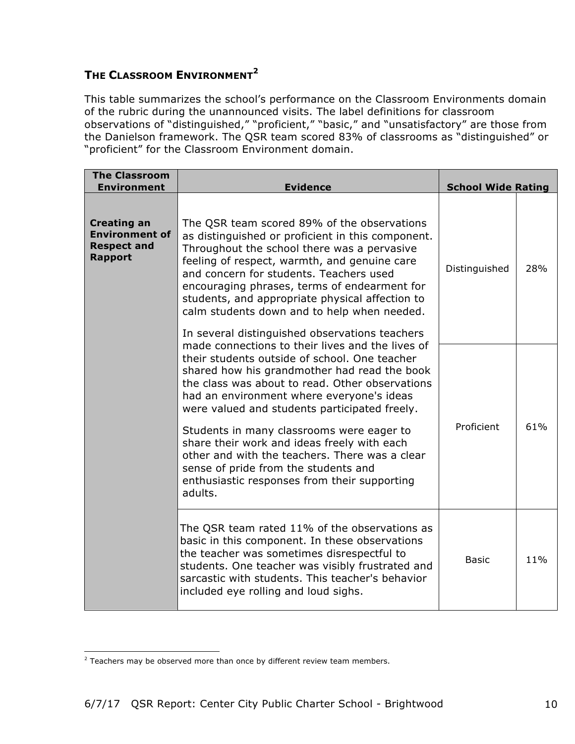## **THE CLASSROOM ENVIRONMENT<sup>2</sup>**

This table summarizes the school's performance on the Classroom Environments domain of the rubric during the unannounced visits. The label definitions for classroom observations of "distinguished," "proficient," "basic," and "unsatisfactory" are those from the Danielson framework. The QSR team scored 83% of classrooms as "distinguished" or "proficient" for the Classroom Environment domain.

| <b>The Classroom</b><br><b>Environment</b>                                          | <b>Evidence</b>                                                                                                                                                                                                                                                                                                                                                                              | <b>School Wide Rating</b> |     |
|-------------------------------------------------------------------------------------|----------------------------------------------------------------------------------------------------------------------------------------------------------------------------------------------------------------------------------------------------------------------------------------------------------------------------------------------------------------------------------------------|---------------------------|-----|
| <b>Creating an</b><br><b>Environment of</b><br><b>Respect and</b><br><b>Rapport</b> | The QSR team scored 89% of the observations<br>as distinguished or proficient in this component.<br>Throughout the school there was a pervasive<br>feeling of respect, warmth, and genuine care<br>and concern for students. Teachers used<br>encouraging phrases, terms of endearment for<br>students, and appropriate physical affection to<br>calm students down and to help when needed. | Distinguished             | 28% |
|                                                                                     | In several distinguished observations teachers<br>made connections to their lives and the lives of<br>their students outside of school. One teacher<br>shared how his grandmother had read the book<br>the class was about to read. Other observations<br>had an environment where everyone's ideas<br>were valued and students participated freely.                                         |                           |     |
|                                                                                     | Students in many classrooms were eager to<br>share their work and ideas freely with each<br>other and with the teachers. There was a clear<br>sense of pride from the students and<br>enthusiastic responses from their supporting<br>adults.                                                                                                                                                | Proficient                | 61% |
|                                                                                     | The QSR team rated 11% of the observations as<br>basic in this component. In these observations<br>the teacher was sometimes disrespectful to<br>students. One teacher was visibly frustrated and<br>sarcastic with students. This teacher's behavior<br>included eye rolling and loud sighs.                                                                                                | <b>Basic</b>              | 11% |

<sup>&</sup>lt;u> 1989 - Johann Stein, marwolaethau a bh</u>  $2$  Teachers may be observed more than once by different review team members.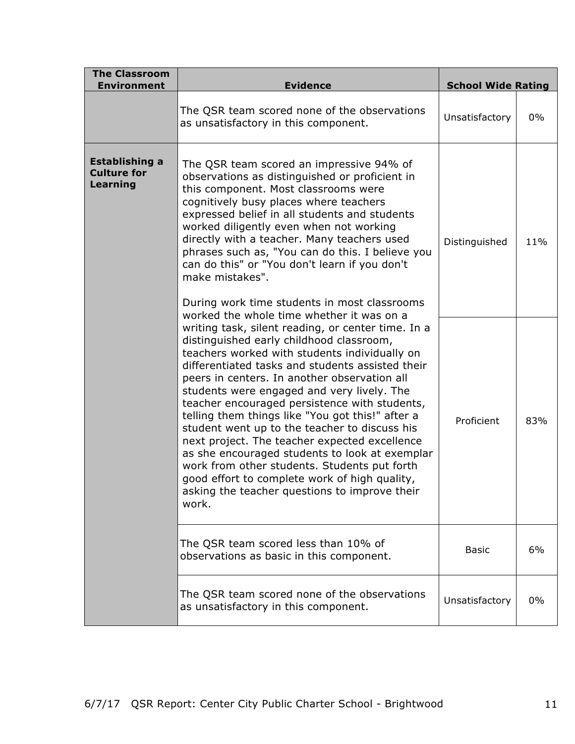| <b>The Classroom</b><br><b>Environment</b>              | <b>Evidence</b>                                                                                                                                                                                                                                                                                                                                                                                                                                                                                                                                                                                                                                                                                                                                                    | <b>School Wide Rating</b> |       |
|---------------------------------------------------------|--------------------------------------------------------------------------------------------------------------------------------------------------------------------------------------------------------------------------------------------------------------------------------------------------------------------------------------------------------------------------------------------------------------------------------------------------------------------------------------------------------------------------------------------------------------------------------------------------------------------------------------------------------------------------------------------------------------------------------------------------------------------|---------------------------|-------|
|                                                         | The QSR team scored none of the observations<br>as unsatisfactory in this component.                                                                                                                                                                                                                                                                                                                                                                                                                                                                                                                                                                                                                                                                               | Unsatisfactory            | $0\%$ |
| <b>Establishing a</b><br><b>Culture for</b><br>Learning | The QSR team scored an impressive 94% of<br>observations as distinguished or proficient in<br>this component. Most classrooms were<br>cognitively busy places where teachers<br>expressed belief in all students and students<br>worked diligently even when not working<br>directly with a teacher. Many teachers used<br>phrases such as, "You can do this. I believe you<br>can do this" or "You don't learn if you don't<br>make mistakes".<br>During work time students in most classrooms                                                                                                                                                                                                                                                                    | Distinguished             | 11%   |
|                                                         | worked the whole time whether it was on a<br>writing task, silent reading, or center time. In a<br>distinguished early childhood classroom,<br>teachers worked with students individually on<br>differentiated tasks and students assisted their<br>peers in centers. In another observation all<br>students were engaged and very lively. The<br>teacher encouraged persistence with students,<br>telling them things like "You got this!" after a<br>student went up to the teacher to discuss his<br>next project. The teacher expected excellence<br>as she encouraged students to look at exemplar<br>work from other students. Students put forth<br>good effort to complete work of high quality,<br>asking the teacher questions to improve their<br>work. | Proficient                | 83%   |
|                                                         | The QSR team scored less than 10% of<br>observations as basic in this component.                                                                                                                                                                                                                                                                                                                                                                                                                                                                                                                                                                                                                                                                                   | <b>Basic</b>              | 6%    |
|                                                         | The QSR team scored none of the observations<br>as unsatisfactory in this component.                                                                                                                                                                                                                                                                                                                                                                                                                                                                                                                                                                                                                                                                               | Unsatisfactory            | $0\%$ |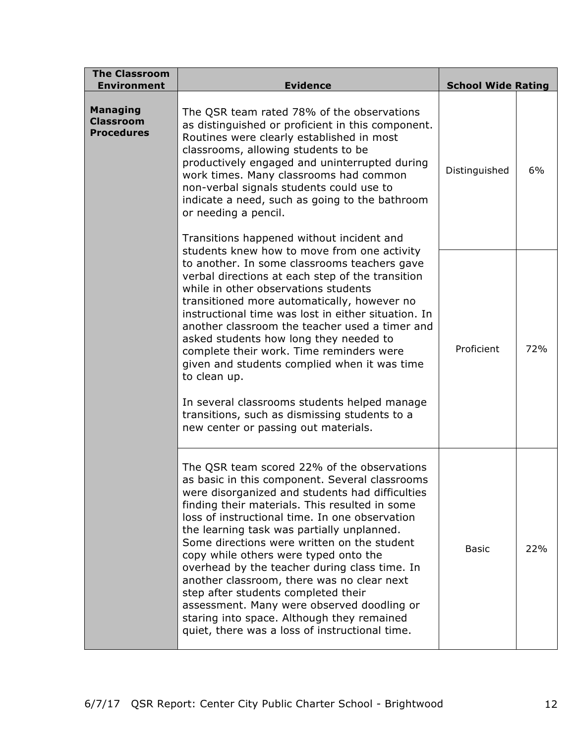| <b>The Classroom</b><br><b>Environment</b>               | <b>Evidence</b>                                                                                                                                                                                                                                                                                                                                                                                                                                                                                                                                                                                                                                                                | <b>School Wide Rating</b> |     |
|----------------------------------------------------------|--------------------------------------------------------------------------------------------------------------------------------------------------------------------------------------------------------------------------------------------------------------------------------------------------------------------------------------------------------------------------------------------------------------------------------------------------------------------------------------------------------------------------------------------------------------------------------------------------------------------------------------------------------------------------------|---------------------------|-----|
| <b>Managing</b><br><b>Classroom</b><br><b>Procedures</b> | The QSR team rated 78% of the observations<br>as distinguished or proficient in this component.<br>Routines were clearly established in most<br>classrooms, allowing students to be<br>productively engaged and uninterrupted during<br>work times. Many classrooms had common<br>non-verbal signals students could use to<br>indicate a need, such as going to the bathroom<br>or needing a pencil.<br>Transitions happened without incident and                                                                                                                                                                                                                              | Distinguished             | 6%  |
|                                                          | students knew how to move from one activity<br>to another. In some classrooms teachers gave<br>verbal directions at each step of the transition<br>while in other observations students<br>transitioned more automatically, however no<br>instructional time was lost in either situation. In<br>another classroom the teacher used a timer and<br>asked students how long they needed to<br>complete their work. Time reminders were<br>given and students complied when it was time<br>to clean up.<br>In several classrooms students helped manage<br>transitions, such as dismissing students to a<br>new center or passing out materials.                                 | Proficient                | 72% |
|                                                          | The QSR team scored 22% of the observations<br>as basic in this component. Several classrooms<br>were disorganized and students had difficulties<br>finding their materials. This resulted in some<br>loss of instructional time. In one observation<br>the learning task was partially unplanned.<br>Some directions were written on the student<br>copy while others were typed onto the<br>overhead by the teacher during class time. In<br>another classroom, there was no clear next<br>step after students completed their<br>assessment. Many were observed doodling or<br>staring into space. Although they remained<br>quiet, there was a loss of instructional time. | Basic                     | 22% |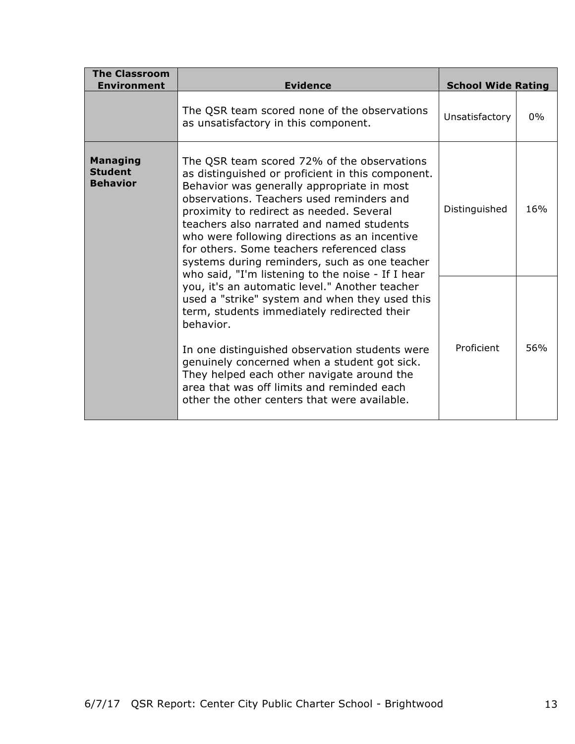| <b>The Classroom</b><br><b>Environment</b>                                                                                                                                                                                                                                                                                                                                                                                                                                                                                                                                                                                                                                                                                                                                                                                                                                                                                                                      | <b>Evidence</b>                                                                      | <b>School Wide Rating</b> |       |
|-----------------------------------------------------------------------------------------------------------------------------------------------------------------------------------------------------------------------------------------------------------------------------------------------------------------------------------------------------------------------------------------------------------------------------------------------------------------------------------------------------------------------------------------------------------------------------------------------------------------------------------------------------------------------------------------------------------------------------------------------------------------------------------------------------------------------------------------------------------------------------------------------------------------------------------------------------------------|--------------------------------------------------------------------------------------|---------------------------|-------|
|                                                                                                                                                                                                                                                                                                                                                                                                                                                                                                                                                                                                                                                                                                                                                                                                                                                                                                                                                                 | The QSR team scored none of the observations<br>as unsatisfactory in this component. | Unsatisfactory            | $0\%$ |
| <b>Managing</b><br>The QSR team scored 72% of the observations<br><b>Student</b><br>as distinguished or proficient in this component.<br><b>Behavior</b><br>Behavior was generally appropriate in most<br>observations. Teachers used reminders and<br>proximity to redirect as needed. Several<br>teachers also narrated and named students<br>who were following directions as an incentive<br>for others. Some teachers referenced class<br>systems during reminders, such as one teacher<br>who said, "I'm listening to the noise - If I hear<br>you, it's an automatic level." Another teacher<br>used a "strike" system and when they used this<br>term, students immediately redirected their<br>behavior.<br>In one distinguished observation students were<br>genuinely concerned when a student got sick.<br>They helped each other navigate around the<br>area that was off limits and reminded each<br>other the other centers that were available. | Distinguished                                                                        | 16%                       |       |
|                                                                                                                                                                                                                                                                                                                                                                                                                                                                                                                                                                                                                                                                                                                                                                                                                                                                                                                                                                 |                                                                                      | Proficient                | 56%   |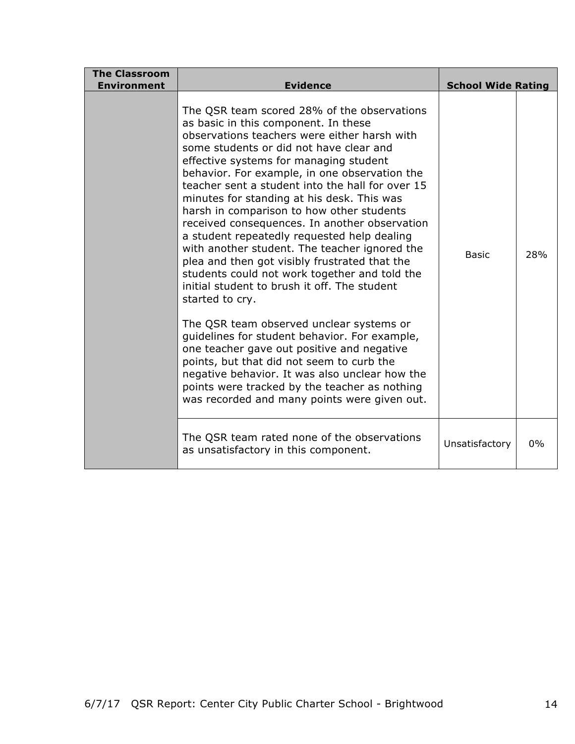| <b>The Classroom</b><br><b>Environment</b> | <b>Evidence</b>                                                                                                                                                                                                                                                                                                                                                                                                                                                                                                                                                                                                                                                                                                                                                                                                                                                                                                                                                                                                                                                                           | <b>School Wide Rating</b> |       |
|--------------------------------------------|-------------------------------------------------------------------------------------------------------------------------------------------------------------------------------------------------------------------------------------------------------------------------------------------------------------------------------------------------------------------------------------------------------------------------------------------------------------------------------------------------------------------------------------------------------------------------------------------------------------------------------------------------------------------------------------------------------------------------------------------------------------------------------------------------------------------------------------------------------------------------------------------------------------------------------------------------------------------------------------------------------------------------------------------------------------------------------------------|---------------------------|-------|
|                                            | The QSR team scored 28% of the observations<br>as basic in this component. In these<br>observations teachers were either harsh with<br>some students or did not have clear and<br>effective systems for managing student<br>behavior. For example, in one observation the<br>teacher sent a student into the hall for over 15<br>minutes for standing at his desk. This was<br>harsh in comparison to how other students<br>received consequences. In another observation<br>a student repeatedly requested help dealing<br>with another student. The teacher ignored the<br>plea and then got visibly frustrated that the<br>students could not work together and told the<br>initial student to brush it off. The student<br>started to cry.<br>The QSR team observed unclear systems or<br>guidelines for student behavior. For example,<br>one teacher gave out positive and negative<br>points, but that did not seem to curb the<br>negative behavior. It was also unclear how the<br>points were tracked by the teacher as nothing<br>was recorded and many points were given out. | Basic                     | 28%   |
|                                            | The QSR team rated none of the observations<br>as unsatisfactory in this component.                                                                                                                                                                                                                                                                                                                                                                                                                                                                                                                                                                                                                                                                                                                                                                                                                                                                                                                                                                                                       | Unsatisfactory            | $0\%$ |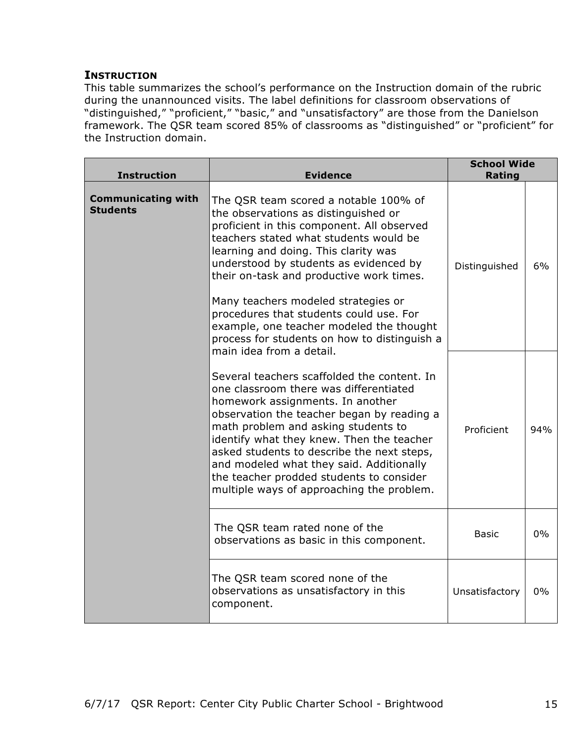### **INSTRUCTION**

This table summarizes the school's performance on the Instruction domain of the rubric during the unannounced visits. The label definitions for classroom observations of "distinguished," "proficient," "basic," and "unsatisfactory" are those from the Danielson framework. The QSR team scored 85% of classrooms as "distinguished" or "proficient" for the Instruction domain.

| <b>Instruction</b>                           | <b>Evidence</b>                                                                                                                                                                                                                                                                                                                                                                                                                                                                                               | <b>School Wide</b><br>Rating |     |
|----------------------------------------------|---------------------------------------------------------------------------------------------------------------------------------------------------------------------------------------------------------------------------------------------------------------------------------------------------------------------------------------------------------------------------------------------------------------------------------------------------------------------------------------------------------------|------------------------------|-----|
| <b>Communicating with</b><br><b>Students</b> | The QSR team scored a notable 100% of<br>the observations as distinguished or<br>proficient in this component. All observed<br>teachers stated what students would be<br>learning and doing. This clarity was<br>understood by students as evidenced by<br>their on-task and productive work times.<br>Many teachers modeled strategies or<br>procedures that students could use. For<br>example, one teacher modeled the thought<br>process for students on how to distinguish a<br>main idea from a detail. | Distinguished                | 6%  |
|                                              | Several teachers scaffolded the content. In<br>one classroom there was differentiated<br>homework assignments. In another<br>observation the teacher began by reading a<br>math problem and asking students to<br>identify what they knew. Then the teacher<br>asked students to describe the next steps,<br>and modeled what they said. Additionally<br>the teacher prodded students to consider<br>multiple ways of approaching the problem.                                                                | Proficient                   | 94% |
|                                              | The QSR team rated none of the<br>observations as basic in this component.                                                                                                                                                                                                                                                                                                                                                                                                                                    | <b>Basic</b>                 | 0%  |
|                                              | The QSR team scored none of the<br>observations as unsatisfactory in this<br>component.                                                                                                                                                                                                                                                                                                                                                                                                                       | Unsatisfactory               | 0%  |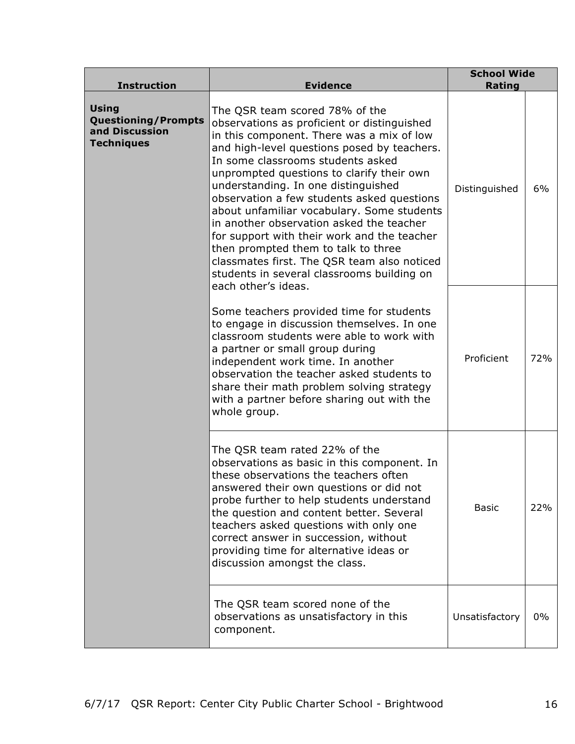| <b>Instruction</b>                                                                | <b>Evidence</b>                                                                                                                                                                                                                                                                                                                                                                                                                                                                                                                                                                                                                                      | <b>School Wide</b><br>Rating |       |
|-----------------------------------------------------------------------------------|------------------------------------------------------------------------------------------------------------------------------------------------------------------------------------------------------------------------------------------------------------------------------------------------------------------------------------------------------------------------------------------------------------------------------------------------------------------------------------------------------------------------------------------------------------------------------------------------------------------------------------------------------|------------------------------|-------|
| <b>Using</b><br><b>Questioning/Prompts</b><br>and Discussion<br><b>Techniques</b> | The QSR team scored 78% of the<br>observations as proficient or distinguished<br>in this component. There was a mix of low<br>and high-level questions posed by teachers.<br>In some classrooms students asked<br>unprompted questions to clarify their own<br>understanding. In one distinguished<br>observation a few students asked questions<br>about unfamiliar vocabulary. Some students<br>in another observation asked the teacher<br>for support with their work and the teacher<br>then prompted them to talk to three<br>classmates first. The QSR team also noticed<br>students in several classrooms building on<br>each other's ideas. | Distinguished                | 6%    |
|                                                                                   | Some teachers provided time for students<br>to engage in discussion themselves. In one<br>classroom students were able to work with<br>a partner or small group during<br>independent work time. In another<br>observation the teacher asked students to<br>share their math problem solving strategy<br>with a partner before sharing out with the<br>whole group.                                                                                                                                                                                                                                                                                  | Proficient                   | 72%   |
|                                                                                   | The QSR team rated 22% of the<br>observations as basic in this component. In<br>these observations the teachers often<br>answered their own questions or did not<br>probe further to help students understand<br>the question and content better. Several<br>teachers asked questions with only one<br>correct answer in succession, without<br>providing time for alternative ideas or<br>discussion amongst the class.                                                                                                                                                                                                                             | <b>Basic</b>                 | 22%   |
|                                                                                   | The QSR team scored none of the<br>observations as unsatisfactory in this<br>component.                                                                                                                                                                                                                                                                                                                                                                                                                                                                                                                                                              | Unsatisfactory               | $0\%$ |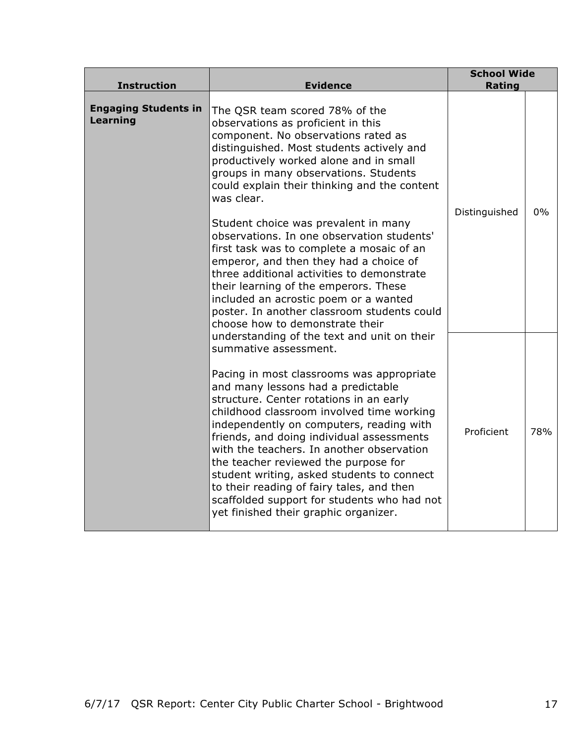| <b>Instruction</b>                      | <b>Evidence</b>                                                                                                                                                                                                                                                                                                                                                                                                                                                                                                                                                                                                                                                                                          | <b>School Wide</b><br><b>Rating</b> |     |
|-----------------------------------------|----------------------------------------------------------------------------------------------------------------------------------------------------------------------------------------------------------------------------------------------------------------------------------------------------------------------------------------------------------------------------------------------------------------------------------------------------------------------------------------------------------------------------------------------------------------------------------------------------------------------------------------------------------------------------------------------------------|-------------------------------------|-----|
| <b>Engaging Students in</b><br>Learning | The QSR team scored 78% of the<br>observations as proficient in this<br>component. No observations rated as<br>distinguished. Most students actively and<br>productively worked alone and in small<br>groups in many observations. Students<br>could explain their thinking and the content<br>was clear.<br>Student choice was prevalent in many<br>observations. In one observation students'<br>first task was to complete a mosaic of an<br>emperor, and then they had a choice of<br>three additional activities to demonstrate<br>their learning of the emperors. These<br>included an acrostic poem or a wanted<br>poster. In another classroom students could<br>choose how to demonstrate their | Distinguished                       | 0%  |
|                                         | understanding of the text and unit on their<br>summative assessment.<br>Pacing in most classrooms was appropriate<br>and many lessons had a predictable<br>structure. Center rotations in an early<br>childhood classroom involved time working<br>independently on computers, reading with<br>friends, and doing individual assessments<br>with the teachers. In another observation<br>the teacher reviewed the purpose for<br>student writing, asked students to connect<br>to their reading of fairy tales, and then<br>scaffolded support for students who had not<br>yet finished their graphic organizer.                                                                                         | Proficient                          | 78% |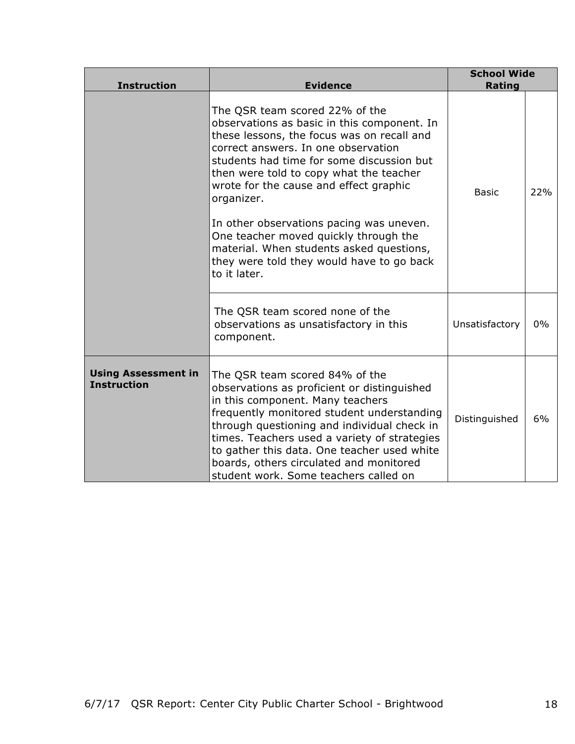| <b>Instruction</b>                               | <b>Evidence</b>                                                                                                                                                                                                                                                                                                                                                                                                                                                                                                  | <b>School Wide</b><br>Rating |     |
|--------------------------------------------------|------------------------------------------------------------------------------------------------------------------------------------------------------------------------------------------------------------------------------------------------------------------------------------------------------------------------------------------------------------------------------------------------------------------------------------------------------------------------------------------------------------------|------------------------------|-----|
|                                                  | The QSR team scored 22% of the<br>observations as basic in this component. In<br>these lessons, the focus was on recall and<br>correct answers. In one observation<br>students had time for some discussion but<br>then were told to copy what the teacher<br>wrote for the cause and effect graphic<br>organizer.<br>In other observations pacing was uneven.<br>One teacher moved quickly through the<br>material. When students asked questions,<br>they were told they would have to go back<br>to it later. | <b>Basic</b>                 | 22% |
|                                                  | The QSR team scored none of the<br>observations as unsatisfactory in this<br>component.                                                                                                                                                                                                                                                                                                                                                                                                                          | Unsatisfactory               | 0%  |
| <b>Using Assessment in</b><br><b>Instruction</b> | The QSR team scored 84% of the<br>observations as proficient or distinguished<br>in this component. Many teachers<br>frequently monitored student understanding<br>through questioning and individual check in<br>times. Teachers used a variety of strategies<br>to gather this data. One teacher used white<br>boards, others circulated and monitored<br>student work. Some teachers called on                                                                                                                | Distinguished                | 6%  |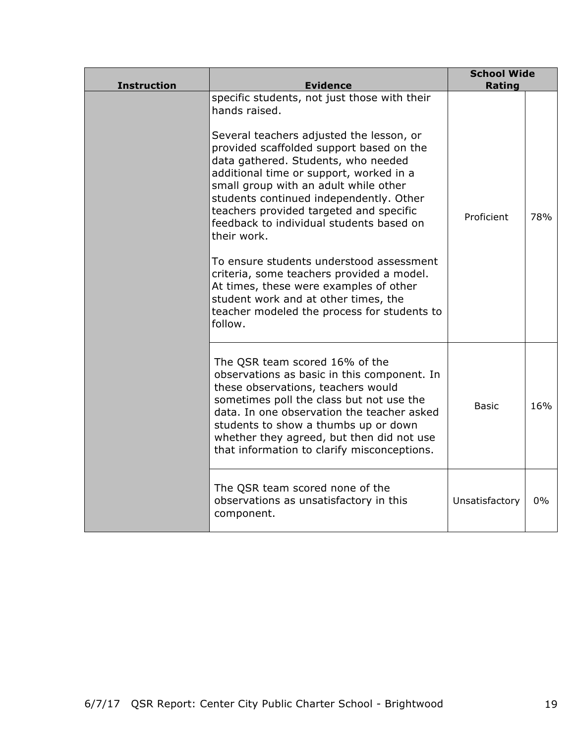| <b>Instruction</b> | <b>Evidence</b>                                                                                                                                                                                                                                                                                                                                                                                                                                                                                                                                                                                                                                                        | <b>School Wide</b><br>Rating |     |
|--------------------|------------------------------------------------------------------------------------------------------------------------------------------------------------------------------------------------------------------------------------------------------------------------------------------------------------------------------------------------------------------------------------------------------------------------------------------------------------------------------------------------------------------------------------------------------------------------------------------------------------------------------------------------------------------------|------------------------------|-----|
|                    | specific students, not just those with their<br>hands raised.<br>Several teachers adjusted the lesson, or<br>provided scaffolded support based on the<br>data gathered. Students, who needed<br>additional time or support, worked in a<br>small group with an adult while other<br>students continued independently. Other<br>teachers provided targeted and specific<br>feedback to individual students based on<br>their work.<br>To ensure students understood assessment<br>criteria, some teachers provided a model.<br>At times, these were examples of other<br>student work and at other times, the<br>teacher modeled the process for students to<br>follow. | Proficient                   | 78% |
|                    | The QSR team scored 16% of the<br>observations as basic in this component. In<br>these observations, teachers would<br>sometimes poll the class but not use the<br>data. In one observation the teacher asked<br>students to show a thumbs up or down<br>whether they agreed, but then did not use<br>that information to clarify misconceptions.                                                                                                                                                                                                                                                                                                                      | <b>Basic</b>                 | 16% |
|                    | The QSR team scored none of the<br>observations as unsatisfactory in this<br>component.                                                                                                                                                                                                                                                                                                                                                                                                                                                                                                                                                                                | Unsatisfactory               | 0%  |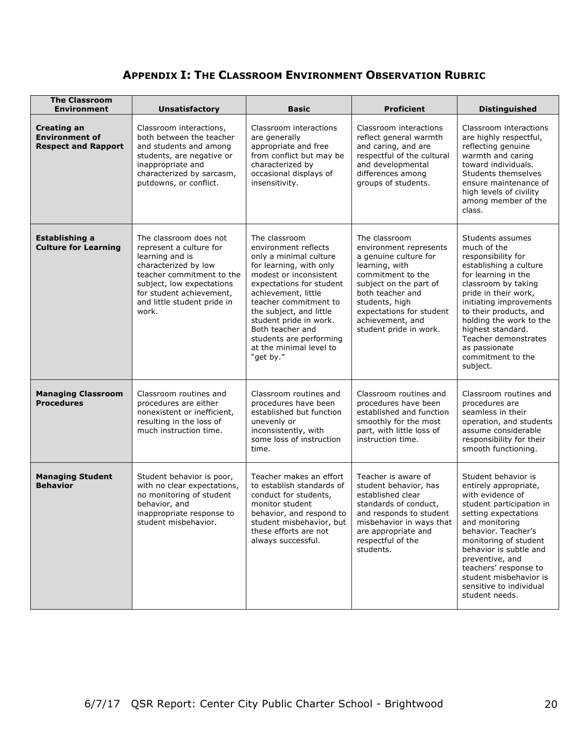## **APPENDIX I: THE CLASSROOM ENVIRONMENT OBSERVATION RUBRIC**

| <b>The Classroom</b><br><b>Environment</b>                                | <b>Unsatisfactory</b>                                                                                                                                                                                                      | <b>Basic</b>                                                                                                                                                                                                                                                                                                                                 | <b>Proficient</b>                                                                                                                                                                                                                                 | <b>Distinguished</b>                                                                                                                                                                                                                                                                                                                 |
|---------------------------------------------------------------------------|----------------------------------------------------------------------------------------------------------------------------------------------------------------------------------------------------------------------------|----------------------------------------------------------------------------------------------------------------------------------------------------------------------------------------------------------------------------------------------------------------------------------------------------------------------------------------------|---------------------------------------------------------------------------------------------------------------------------------------------------------------------------------------------------------------------------------------------------|--------------------------------------------------------------------------------------------------------------------------------------------------------------------------------------------------------------------------------------------------------------------------------------------------------------------------------------|
| <b>Creating an</b><br><b>Environment of</b><br><b>Respect and Rapport</b> | Classroom interactions,<br>both between the teacher<br>and students and among<br>students, are negative or<br>inappropriate and<br>characterized by sarcasm,<br>putdowns, or conflict.                                     | Classroom interactions<br>are generally<br>appropriate and free<br>from conflict but may be<br>characterized by<br>occasional displays of<br>insensitivity.                                                                                                                                                                                  | Classroom interactions<br>reflect general warmth<br>and caring, and are<br>respectful of the cultural<br>and developmental<br>differences among<br>groups of students.                                                                            | Classroom interactions<br>are highly respectful,<br>reflecting genuine<br>warmth and caring<br>toward individuals.<br>Students themselves<br>ensure maintenance of<br>high levels of civility<br>among member of the<br>class.                                                                                                       |
| Establishing a<br><b>Culture for Learning</b>                             | The classroom does not<br>represent a culture for<br>learning and is<br>characterized by low<br>teacher commitment to the<br>subject, low expectations<br>for student achievement,<br>and little student pride in<br>work. | The classroom<br>environment reflects<br>only a minimal culture<br>for learning, with only<br>modest or inconsistent<br>expectations for student<br>achievement, little<br>teacher commitment to<br>the subject, and little<br>student pride in work.<br>Both teacher and<br>students are performing<br>at the minimal level to<br>"get by." | The classroom<br>environment represents<br>a genuine culture for<br>learning, with<br>commitment to the<br>subject on the part of<br>both teacher and<br>students, high<br>expectations for student<br>achievement, and<br>student pride in work. | Students assumes<br>much of the<br>responsibility for<br>establishing a culture<br>for learning in the<br>classroom by taking<br>pride in their work,<br>initiating improvements<br>to their products, and<br>holding the work to the<br>highest standard.<br>Teacher demonstrates<br>as passionate<br>commitment to the<br>subject. |
| <b>Managing Classroom</b><br><b>Procedures</b>                            | Classroom routines and<br>procedures are either<br>nonexistent or inefficient,<br>resulting in the loss of<br>much instruction time.                                                                                       | Classroom routines and<br>procedures have been<br>established but function<br>unevenly or<br>inconsistently, with<br>some loss of instruction<br>time.                                                                                                                                                                                       | Classroom routines and<br>procedures have been<br>established and function<br>smoothly for the most<br>part, with little loss of<br>instruction time.                                                                                             | Classroom routines and<br>procedures are<br>seamless in their<br>operation, and students<br>assume considerable<br>responsibility for their<br>smooth functioning.                                                                                                                                                                   |
| <b>Managing Student</b><br><b>Behavior</b>                                | Student behavior is poor,<br>with no clear expectations,<br>no monitoring of student<br>behavior, and<br>inappropriate response to<br>student misbehavior.                                                                 | Teacher makes an effort<br>to establish standards of<br>conduct for students,<br>monitor student<br>behavior, and respond to<br>student misbehavior, but<br>these efforts are not<br>always successful.                                                                                                                                      | Teacher is aware of<br>student behavior, has<br>established clear<br>standards of conduct,<br>and responds to student<br>misbehavior in ways that<br>are appropriate and<br>respectful of the<br>students.                                        | Student behavior is<br>entirely appropriate,<br>with evidence of<br>student participation in<br>setting expectations<br>and monitoring<br>behavior. Teacher's<br>monitoring of student<br>behavior is subtle and<br>preventive, and<br>teachers' response to<br>student misbehavior is<br>sensitive to individual<br>student needs.  |